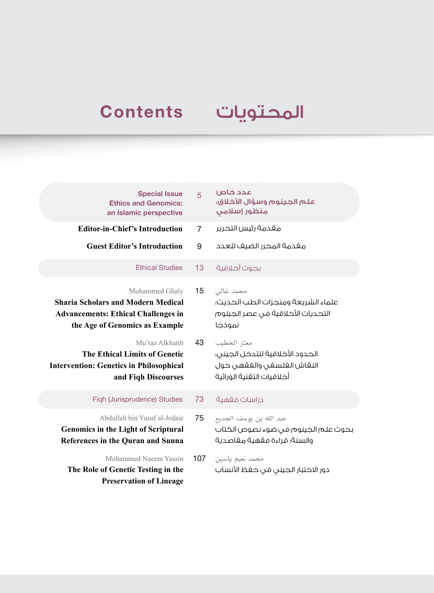## المحتويات Contents

| <b>Special Issue</b><br><b>Ethics and Genomics:</b><br>an Islamic perspective                                                               | 5              | عدد خاص<br>علم الجينوم وسؤال الأخلاق:<br>منظور إسلامي                                                     |
|---------------------------------------------------------------------------------------------------------------------------------------------|----------------|-----------------------------------------------------------------------------------------------------------|
| <b>Editor-in-Chief's Introduction</b>                                                                                                       | $\overline{7}$ | مقدمة رئيس التحرير                                                                                        |
| <b>Guest Editor's Introduction</b>                                                                                                          | 9              | مقدمة المحرر الضيف للعدد                                                                                  |
| <b>Ethical Studies</b>                                                                                                                      | 13             | بحوث أخلاقية                                                                                              |
| Mohammed Ghaly<br><b>Sharia Scholars and Modern Medical</b><br><b>Advancements: Ethical Challenges in</b><br>the Age of Genomics as Example | 15             | محمد غالى<br>علماء الشريعة ومنجزات الطب الحديث؛<br>التحديات الأخلاقية في عصر الجينوم<br>نموذجًا           |
| Mu'taz Alkhatib<br>The Ethical Limits of Genetic<br><b>Intervention: Genetics in Philosophical</b><br>and Fiqh Discourses                   | 43             | معتز الخطيب<br>الحدود الأخلاقية للتدخل الجينى؛<br>النقاش الغلسغى والغقهى حول<br>أخلاقيات التقنية الوراثية |
| Figh (Jurisprudence) Studies                                                                                                                | 73             | دراسات فقهية                                                                                              |
| Abdullah bin Yusuf al-Jedaie<br><b>Genomics in the Light of Scriptural</b><br>References in the Quran and Sunna                             | 75             | عبد الله بن يوسف الجديع<br>بحوث علم الجينوم فى ضوء نصوص الكتاب<br>والسنة؛ قراءة فقهية مقاصدية             |
| Mohammed Naeem Yassin<br>The Role of Genetic Testing in the<br><b>Preservation of Lineage</b>                                               | 107            | محمد نعيم ياسين<br>دور الاختبار الجينى فى حفظ الأنساب                                                     |